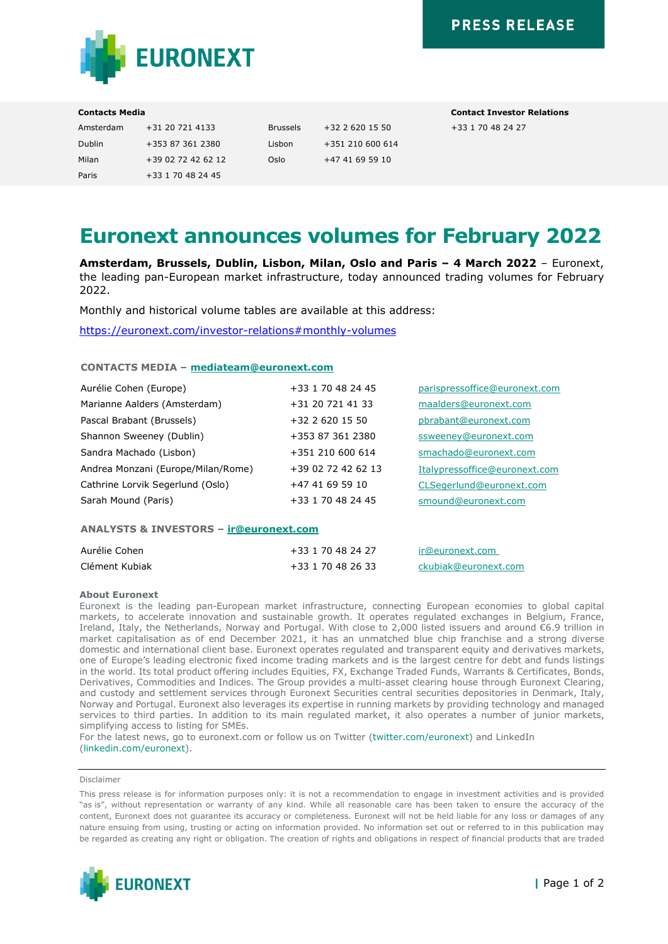

| Amsterdam | +31 20 721 4133    | Bru  |
|-----------|--------------------|------|
| Dublin    | +353 87 361 2380   | Lisl |
| Milan     | +39 02 72 42 62 12 | Osl  |
| Paris     | +33 1 70 48 24 45  |      |

 $\binom{1}{3}$  +351 210 600 614  $\ln \frac{+4741695910}{}$ 

**Contacts Media Contact Investor Relations**  $\text{Assels}$  +32 2 620 15 50 +33 1 70 48 24 27

# **Euronext announces volumes for February 2022**

**Amsterdam, Brussels, Dublin, Lisbon, Milan, Oslo and Paris – 4 March 2022** – Euronext, the leading pan-European market infrastructure, today announced trading volumes for February 2022.

Monthly and historical volume tables are available at this address:

<https://euronext.com/investor-relations#monthly-volumes>

# **CONTACTS MEDIA – [mediateam@euronext.com](mailto:mediateam@euronext.com)**

| Aurélie Cohen (Europe)             | +33 1 70 48 24 45  | parispressoffice@euronext.com |
|------------------------------------|--------------------|-------------------------------|
| Marianne Aalders (Amsterdam)       | +31 20 721 41 33   | maalders@euronext.com         |
| Pascal Brabant (Brussels)          | +32 2 620 15 50    | pbrabant@euronext.com         |
| Shannon Sweeney (Dublin)           | +353 87 361 2380   | ssweeney@euronext.com         |
| Sandra Machado (Lisbon)            | +351 210 600 614   | smachado@euronext.com         |
| Andrea Monzani (Europe/Milan/Rome) | +39 02 72 42 62 13 | Italypressoffice@euronext.com |
| Cathrine Lorvik Segerlund (Oslo)   | +47 41 69 59 10    | CLSegerlund@euronext.com      |
| Sarah Mound (Paris)                | +33 1 70 48 24 45  | smound@euronext.com           |

# **ANALYSTS & INVESTORS – [ir@euronext.com](mailto:ir@euronext.com)**

| Aurélie Cohen  | +33 1 70 48 24 27 | ir@euronext.com      |
|----------------|-------------------|----------------------|
| Clément Kubiak | +33 1 70 48 26 33 | ckubiak@euronext.com |

## **About Euronext**

Euronext is the leading pan-European market infrastructure, connecting European economies to global capital markets, to accelerate innovation and sustainable growth. It operates regulated exchanges in Belgium, France, Ireland, Italy, the Netherlands, Norway and Portugal. With close to 2,000 listed issuers and around €6.9 trillion in market capitalisation as of end December 2021, it has an unmatched blue chip franchise and a strong diverse domestic and international client base. Euronext operates regulated and transparent equity and derivatives markets, one of Europe's leading electronic fixed income trading markets and is the largest centre for debt and funds listings in the world. Its total product offering includes Equities, FX, Exchange Traded Funds, Warrants & Certificates, Bonds, Derivatives, Commodities and Indices. The Group provides a multi-asset clearing house through Euronext Clearing, and custody and settlement services through Euronext Securities central securities depositories in Denmark, Italy, Norway and Portugal. Euronext also leverages its expertise in running markets by providing technology and managed services to third parties. In addition to its main regulated market, it also operates a number of junior markets, simplifying access to listing for SMEs.

For the latest news, go to euronext.com or follow us on Twitter [\(twitter.com/euronext\)](https://twitter.com/euronext) and LinkedIn [\(linkedin.com/euronext\)](https://www.linkedin.com/company/euronext/).

#### Disclaimer

This press release is for information purposes only: it is not a recommendation to engage in investment activities and is provided "as is", without representation or warranty of any kind. While all reasonable care has been taken to ensure the accuracy of the content, Euronext does not guarantee its accuracy or completeness. Euronext will not be held liable for any loss or damages of any nature ensuing from using, trusting or acting on information provided. No information set out or referred to in this publication may be regarded as creating any right or obligation. The creation of rights and obligations in respect of financial products that are traded